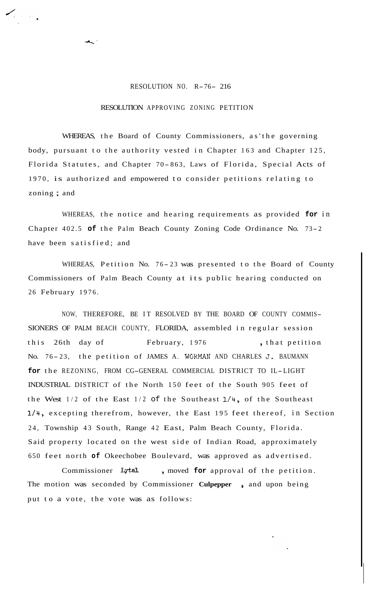## RESOLUTION NO. R-76- 216

## RESOLUTION APPROVING ZONING PETITION

WHEREAS, the Board of County Commissioners, as'the governing body, pursuant to the authority vested in Chapter 163 and Chapter 125, Florida Statutes, and Chapter 70-863, Laws of Florida, Special Acts of 1970, is authorized and empowered to consider petitions relating to zoning ; and

WHEREAS, the notice and hearing requirements as provided **for** in Chapter 402.5 **of** the Palm Beach County Zoning Code Ordinance No. 73- <sup>2</sup> have been satisfied; and

WHEREAS, Petition No. 76-23 was presented to the Board of County Commissioners of Palm Beach County at its public hearing conducted on 26 February 1976.

NOW, THEREFORE, BE IT RESOLVED BY THE BOARD OF COUNTY COMMIS-SIONERS OF PALM BEACH COUNTY, FLORIDA, assembled in regular session this 26th day of February, 1976, that petition No. 76-23, the petition of JAMES A. WORMAN AND CHARLES J. BAUMANN **for** the REZONING, FROM CG-GENERAL COMMERCIAL DISTRICT TO IL-LIGHT INDUSTRIAL DISTRICT of the North 150 feet of the South 905 feet of the West  $1/2$  of the East  $1/2$  of the Southeast  $1/4$ , of the Southeast 1/4, excepting therefrom, however, the East 195 feet thereof, in Section 24, Township 43 South, Range 42 East, Palm Beach County, Florida. Said property located on the west side of Indian Road, approximately 650 feet north **of** Okeechobee Boulevard, was approved as advertised.

Commissioner Lytal, moved for approval of the petition. The motion was seconded by Commissioner **Culpepper**, and upon being put to a vote, the vote was as follows: